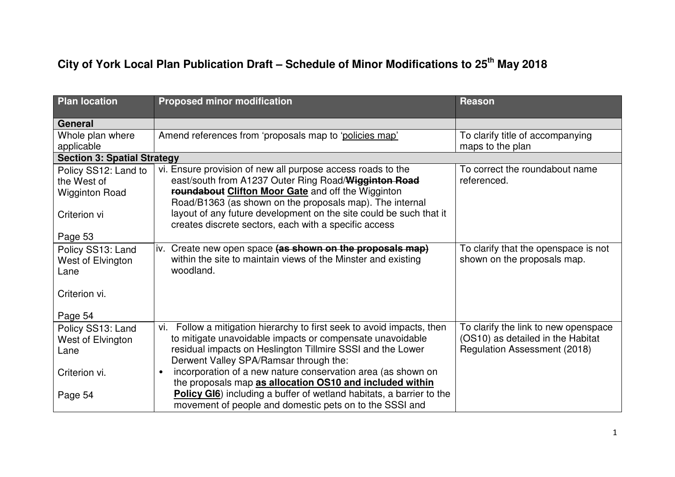## **City of York Local Plan Publication Draft – Schedule of Minor Modifications to 25th May 2018**

| <b>Plan location</b>               | <b>Proposed minor modification</b>                                                                                             | <b>Reason</b>                                                       |
|------------------------------------|--------------------------------------------------------------------------------------------------------------------------------|---------------------------------------------------------------------|
| General                            |                                                                                                                                |                                                                     |
| Whole plan where                   | Amend references from 'proposals map to 'policies map'                                                                         | To clarify title of accompanying                                    |
| applicable                         |                                                                                                                                | maps to the plan                                                    |
| <b>Section 3: Spatial Strategy</b> |                                                                                                                                |                                                                     |
| Policy SS12: Land to               | vi. Ensure provision of new all purpose access roads to the                                                                    | To correct the roundabout name                                      |
| the West of                        | east/south from A1237 Outer Ring Road/Wigginton Road                                                                           | referenced.                                                         |
| <b>Wigginton Road</b>              | roundabout Clifton Moor Gate and off the Wigginton                                                                             |                                                                     |
|                                    | Road/B1363 (as shown on the proposals map). The internal<br>layout of any future development on the site could be such that it |                                                                     |
| Criterion vi                       | creates discrete sectors, each with a specific access                                                                          |                                                                     |
| Page 53                            |                                                                                                                                |                                                                     |
|                                    |                                                                                                                                |                                                                     |
| Policy SS13: Land                  | Create new open space (as shown on the proposals map)<br>iv.<br>within the site to maintain views of the Minster and existing  | To clarify that the openspace is not<br>shown on the proposals map. |
| West of Elvington<br>Lane          | woodland.                                                                                                                      |                                                                     |
|                                    |                                                                                                                                |                                                                     |
| Criterion vi.                      |                                                                                                                                |                                                                     |
|                                    |                                                                                                                                |                                                                     |
| Page 54                            |                                                                                                                                |                                                                     |
| Policy SS13: Land                  | Follow a mitigation hierarchy to first seek to avoid impacts, then<br>vi.                                                      | To clarify the link to new openspace                                |
| West of Elvington                  | to mitigate unavoidable impacts or compensate unavoidable                                                                      | (OS10) as detailed in the Habitat                                   |
| Lane                               | residual impacts on Heslington Tillmire SSSI and the Lower                                                                     | <b>Regulation Assessment (2018)</b>                                 |
|                                    | Derwent Valley SPA/Ramsar through the:                                                                                         |                                                                     |
| Criterion vi.                      | incorporation of a new nature conservation area (as shown on<br>$\bullet$                                                      |                                                                     |
|                                    | the proposals map as allocation OS10 and included within                                                                       |                                                                     |
| Page 54                            | Policy GI6) including a buffer of wetland habitats, a barrier to the                                                           |                                                                     |
|                                    | movement of people and domestic pets on to the SSSI and                                                                        |                                                                     |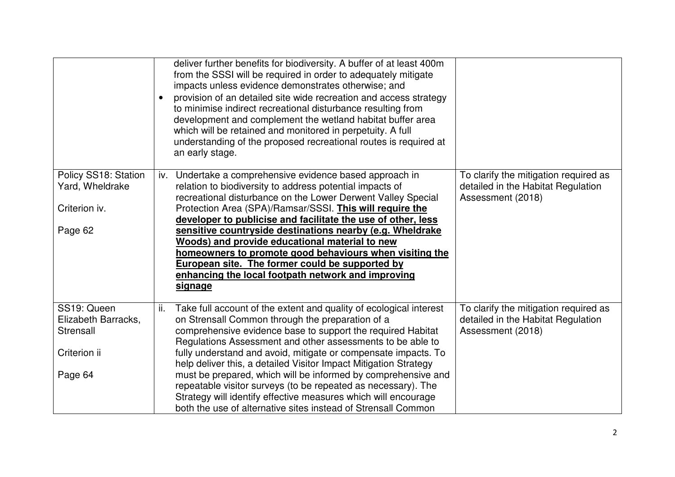|                                         | deliver further benefits for biodiversity. A buffer of at least 400m<br>from the SSSI will be required in order to adequately mitigate<br>impacts unless evidence demonstrates otherwise; and<br>provision of an detailed site wide recreation and access strategy<br>$\bullet$<br>to minimise indirect recreational disturbance resulting from<br>development and complement the wetland habitat buffer area<br>which will be retained and monitored in perpetuity. A full<br>understanding of the proposed recreational routes is required at<br>an early stage. |                                                                                                  |
|-----------------------------------------|--------------------------------------------------------------------------------------------------------------------------------------------------------------------------------------------------------------------------------------------------------------------------------------------------------------------------------------------------------------------------------------------------------------------------------------------------------------------------------------------------------------------------------------------------------------------|--------------------------------------------------------------------------------------------------|
| Policy SS18: Station<br>Yard, Wheldrake | Undertake a comprehensive evidence based approach in<br>iv.<br>relation to biodiversity to address potential impacts of<br>recreational disturbance on the Lower Derwent Valley Special                                                                                                                                                                                                                                                                                                                                                                            | To clarify the mitigation required as<br>detailed in the Habitat Regulation<br>Assessment (2018) |
| Criterion iv.                           | Protection Area (SPA)/Ramsar/SSSI. This will require the                                                                                                                                                                                                                                                                                                                                                                                                                                                                                                           |                                                                                                  |
|                                         | developer to publicise and facilitate the use of other, less                                                                                                                                                                                                                                                                                                                                                                                                                                                                                                       |                                                                                                  |
| Page 62                                 | sensitive countryside destinations nearby (e.g. Wheldrake                                                                                                                                                                                                                                                                                                                                                                                                                                                                                                          |                                                                                                  |
|                                         | Woods) and provide educational material to new                                                                                                                                                                                                                                                                                                                                                                                                                                                                                                                     |                                                                                                  |
|                                         | homeowners to promote good behaviours when visiting the<br>European site. The former could be supported by                                                                                                                                                                                                                                                                                                                                                                                                                                                         |                                                                                                  |
|                                         | enhancing the local footpath network and improving                                                                                                                                                                                                                                                                                                                                                                                                                                                                                                                 |                                                                                                  |
|                                         | signage                                                                                                                                                                                                                                                                                                                                                                                                                                                                                                                                                            |                                                                                                  |
| SS19: Queen                             | Take full account of the extent and quality of ecological interest<br>ii.                                                                                                                                                                                                                                                                                                                                                                                                                                                                                          | To clarify the mitigation required as                                                            |
| Elizabeth Barracks,                     | on Strensall Common through the preparation of a                                                                                                                                                                                                                                                                                                                                                                                                                                                                                                                   | detailed in the Habitat Regulation                                                               |
| Strensall                               | comprehensive evidence base to support the required Habitat                                                                                                                                                                                                                                                                                                                                                                                                                                                                                                        | Assessment (2018)                                                                                |
|                                         | Regulations Assessment and other assessments to be able to                                                                                                                                                                                                                                                                                                                                                                                                                                                                                                         |                                                                                                  |
| Criterion ii                            | fully understand and avoid, mitigate or compensate impacts. To                                                                                                                                                                                                                                                                                                                                                                                                                                                                                                     |                                                                                                  |
| Page 64                                 | help deliver this, a detailed Visitor Impact Mitigation Strategy<br>must be prepared, which will be informed by comprehensive and                                                                                                                                                                                                                                                                                                                                                                                                                                  |                                                                                                  |
|                                         | repeatable visitor surveys (to be repeated as necessary). The                                                                                                                                                                                                                                                                                                                                                                                                                                                                                                      |                                                                                                  |
|                                         | Strategy will identify effective measures which will encourage                                                                                                                                                                                                                                                                                                                                                                                                                                                                                                     |                                                                                                  |
|                                         | both the use of alternative sites instead of Strensall Common                                                                                                                                                                                                                                                                                                                                                                                                                                                                                                      |                                                                                                  |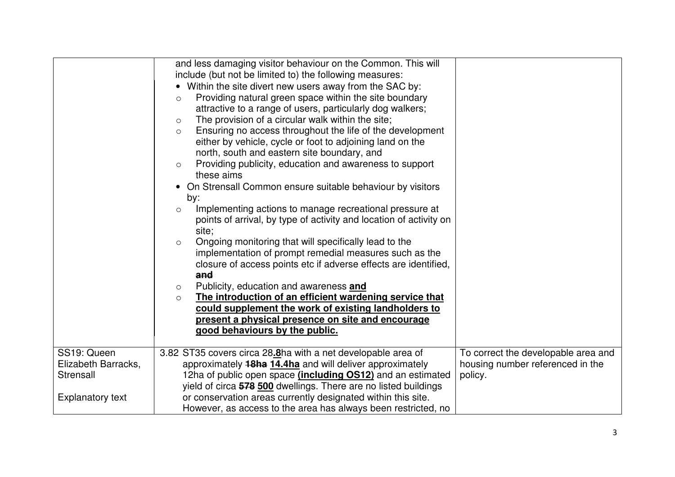|                         | and less damaging visitor behaviour on the Common. This will<br>include (but not be limited to) the following measures:                                                                              |                                     |
|-------------------------|------------------------------------------------------------------------------------------------------------------------------------------------------------------------------------------------------|-------------------------------------|
|                         | • Within the site divert new users away from the SAC by:<br>Providing natural green space within the site boundary<br>$\circ$                                                                        |                                     |
|                         | attractive to a range of users, particularly dog walkers;<br>The provision of a circular walk within the site;<br>$\circ$                                                                            |                                     |
|                         | Ensuring no access throughout the life of the development<br>$\circ$<br>either by vehicle, cycle or foot to adjoining land on the<br>north, south and eastern site boundary, and                     |                                     |
|                         | Providing publicity, education and awareness to support<br>$\circ$<br>these aims                                                                                                                     |                                     |
|                         | On Strensall Common ensure suitable behaviour by visitors<br>by:                                                                                                                                     |                                     |
|                         | Implementing actions to manage recreational pressure at<br>$\circ$<br>points of arrival, by type of activity and location of activity on<br>site;                                                    |                                     |
|                         | Ongoing monitoring that will specifically lead to the<br>$\circ$<br>implementation of prompt remedial measures such as the<br>closure of access points etc if adverse effects are identified,<br>and |                                     |
|                         | Publicity, education and awareness and<br>$\circ$                                                                                                                                                    |                                     |
|                         | The introduction of an efficient wardening service that<br>$\circ$<br>could supplement the work of existing landholders to                                                                           |                                     |
|                         | present a physical presence on site and encourage<br>good behaviours by the public.                                                                                                                  |                                     |
| SS19: Queen             | 3.82 ST35 covers circa 28.8ha with a net developable area of                                                                                                                                         | To correct the developable area and |
| Elizabeth Barracks,     | approximately 18ha 14.4ha and will deliver approximately                                                                                                                                             | housing number referenced in the    |
| Strensall               | 12ha of public open space <i>(including OS12)</i> and an estimated                                                                                                                                   | policy.                             |
|                         | yield of circa 578 500 dwellings. There are no listed buildings                                                                                                                                      |                                     |
| <b>Explanatory text</b> | or conservation areas currently designated within this site.<br>However, as access to the area has always been restricted, no                                                                        |                                     |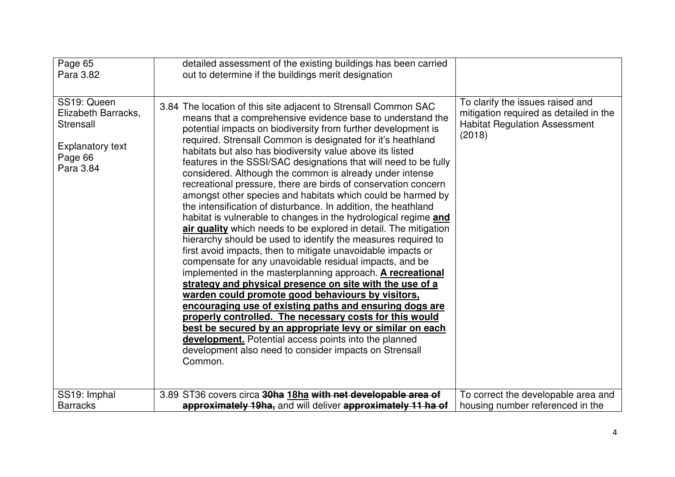| Page 65<br>Para 3.82                                                                               | detailed assessment of the existing buildings has been carried<br>out to determine if the buildings merit designation                                                                                                                                                                                                                                                                                                                                                                                                                                                                                                                                                                                                                                                                                                                                                                                                                                                                                                                                                                                                                                                                                                                                                                                                                                                                                                                                                                            |                                                                                                                              |
|----------------------------------------------------------------------------------------------------|--------------------------------------------------------------------------------------------------------------------------------------------------------------------------------------------------------------------------------------------------------------------------------------------------------------------------------------------------------------------------------------------------------------------------------------------------------------------------------------------------------------------------------------------------------------------------------------------------------------------------------------------------------------------------------------------------------------------------------------------------------------------------------------------------------------------------------------------------------------------------------------------------------------------------------------------------------------------------------------------------------------------------------------------------------------------------------------------------------------------------------------------------------------------------------------------------------------------------------------------------------------------------------------------------------------------------------------------------------------------------------------------------------------------------------------------------------------------------------------------------|------------------------------------------------------------------------------------------------------------------------------|
| SS19: Queen<br>Elizabeth Barracks,<br>Strensall<br><b>Explanatory text</b><br>Page 66<br>Para 3.84 | 3.84 The location of this site adjacent to Strensall Common SAC<br>means that a comprehensive evidence base to understand the<br>potential impacts on biodiversity from further development is<br>required. Strensall Common is designated for it's heathland<br>habitats but also has biodiversity value above its listed<br>features in the SSSI/SAC designations that will need to be fully<br>considered. Although the common is already under intense<br>recreational pressure, there are birds of conservation concern<br>amongst other species and habitats which could be harmed by<br>the intensification of disturbance. In addition, the heathland<br>habitat is vulnerable to changes in the hydrological regime and<br>air quality which needs to be explored in detail. The mitigation<br>hierarchy should be used to identify the measures required to<br>first avoid impacts, then to mitigate unavoidable impacts or<br>compensate for any unavoidable residual impacts, and be<br>implemented in the masterplanning approach. A recreational<br>strategy and physical presence on site with the use of a<br>warden could promote good behaviours by visitors,<br>encouraging use of existing paths and ensuring dogs are<br>properly controlled. The necessary costs for this would<br>best be secured by an appropriate levy or similar on each<br>development. Potential access points into the planned<br>development also need to consider impacts on Strensall<br>Common. | To clarify the issues raised and<br>mitigation required as detailed in the<br><b>Habitat Regulation Assessment</b><br>(2018) |
| SS19: Imphal<br><b>Barracks</b>                                                                    | 3.89 ST36 covers circa 30ha 18ha with net developable area of<br>approximately 19ha, and will deliver approximately 11 ha of                                                                                                                                                                                                                                                                                                                                                                                                                                                                                                                                                                                                                                                                                                                                                                                                                                                                                                                                                                                                                                                                                                                                                                                                                                                                                                                                                                     | To correct the developable area and<br>housing number referenced in the                                                      |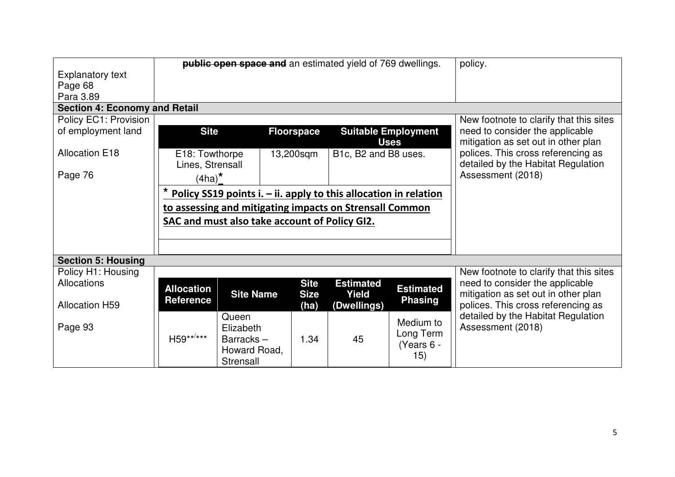|                                      | <b>public open space and</b> an estimated yield of 769 dwellings. |                                                                    |                   |                      | policy.                    |                                         |
|--------------------------------------|-------------------------------------------------------------------|--------------------------------------------------------------------|-------------------|----------------------|----------------------------|-----------------------------------------|
| <b>Explanatory text</b>              |                                                                   |                                                                    |                   |                      |                            |                                         |
| Page 68                              |                                                                   |                                                                    |                   |                      |                            |                                         |
| Para 3.89                            |                                                                   |                                                                    |                   |                      |                            |                                         |
| <b>Section 4: Economy and Retail</b> |                                                                   |                                                                    |                   |                      |                            |                                         |
| <b>Policy EC1: Provision</b>         |                                                                   |                                                                    |                   |                      |                            | New footnote to clarify that this sites |
| of employment land                   | <b>Site</b>                                                       |                                                                    | <b>Floorspace</b> |                      | <b>Suitable Employment</b> | need to consider the applicable         |
|                                      |                                                                   |                                                                    |                   |                      | <b>Uses</b>                | mitigation as set out in other plan     |
| <b>Allocation E18</b>                | E18: Towthorpe                                                    |                                                                    | 13,200sqm         | B1c, B2 and B8 uses. |                            | polices. This cross referencing as      |
|                                      | Lines, Strensall                                                  |                                                                    |                   |                      |                            | detailed by the Habitat Regulation      |
| Page 76                              | $(4ha)^*$                                                         |                                                                    |                   |                      |                            | Assessment (2018)                       |
|                                      |                                                                   |                                                                    |                   |                      |                            |                                         |
|                                      |                                                                   | Policy SS19 points i. $-$ ii. apply to this allocation in relation |                   |                      |                            |                                         |
|                                      |                                                                   | to assessing and mitigating impacts on Strensall Common            |                   |                      |                            |                                         |
|                                      |                                                                   | SAC and must also take account of Policy GI2.                      |                   |                      |                            |                                         |
|                                      |                                                                   |                                                                    |                   |                      |                            |                                         |
|                                      |                                                                   |                                                                    |                   |                      |                            |                                         |
| <b>Section 5: Housing</b>            |                                                                   |                                                                    |                   |                      |                            |                                         |
| Policy H1: Housing                   |                                                                   |                                                                    |                   |                      |                            | New footnote to clarify that this sites |
| Allocations                          |                                                                   |                                                                    | <b>Site</b>       | <b>Estimated</b>     |                            | need to consider the applicable         |
|                                      | <b>Allocation</b>                                                 | <b>Site Name</b>                                                   | <b>Size</b>       | Yield                | <b>Estimated</b>           | mitigation as set out in other plan     |
| <b>Allocation H59</b>                | <b>Reference</b>                                                  |                                                                    | (ha)              | (Dwellings)          | <b>Phasing</b>             | polices. This cross referencing as      |
|                                      |                                                                   | Queen                                                              |                   |                      |                            | detailed by the Habitat Regulation      |
| Page 93                              |                                                                   | Elizabeth                                                          |                   |                      | Medium to                  | Assessment (2018)                       |
|                                      | H59**/***                                                         | Barracks-                                                          | 1.34              | 45                   | Long Term                  |                                         |
|                                      |                                                                   | Howard Road,                                                       |                   |                      | (Years 6 -                 |                                         |
|                                      |                                                                   | Strensall                                                          |                   |                      | 15)                        |                                         |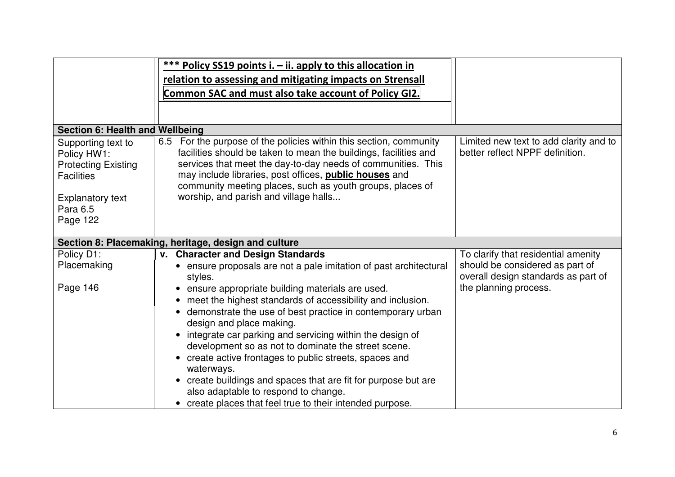|                                                                                                                                         | *** Policy SS19 points i. - ii. apply to this allocation in<br>relation to assessing and mitigating impacts on Strensall<br>Common SAC and must also take account of Policy GI2.                                                                                                                                                                                                                                                                                                                                                                                                                                                                             |                                                                                                 |
|-----------------------------------------------------------------------------------------------------------------------------------------|--------------------------------------------------------------------------------------------------------------------------------------------------------------------------------------------------------------------------------------------------------------------------------------------------------------------------------------------------------------------------------------------------------------------------------------------------------------------------------------------------------------------------------------------------------------------------------------------------------------------------------------------------------------|-------------------------------------------------------------------------------------------------|
| <b>Section 6: Health and Wellbeing</b>                                                                                                  |                                                                                                                                                                                                                                                                                                                                                                                                                                                                                                                                                                                                                                                              |                                                                                                 |
| Supporting text to<br>Policy HW1:<br><b>Protecting Existing</b><br><b>Facilities</b><br><b>Explanatory text</b><br>Para 6.5<br>Page 122 | For the purpose of the policies within this section, community<br>6.5<br>facilities should be taken to mean the buildings, facilities and<br>services that meet the day-to-day needs of communities. This<br>may include libraries, post offices, <b>public houses</b> and<br>community meeting places, such as youth groups, places of<br>worship, and parish and village halls                                                                                                                                                                                                                                                                             | Limited new text to add clarity and to<br>better reflect NPPF definition.                       |
|                                                                                                                                         | Section 8: Placemaking, heritage, design and culture                                                                                                                                                                                                                                                                                                                                                                                                                                                                                                                                                                                                         |                                                                                                 |
| Policy D1:                                                                                                                              | v. Character and Design Standards                                                                                                                                                                                                                                                                                                                                                                                                                                                                                                                                                                                                                            | To clarify that residential amenity                                                             |
| Placemaking<br>Page 146                                                                                                                 | • ensure proposals are not a pale imitation of past architectural<br>styles.<br>ensure appropriate building materials are used.<br>meet the highest standards of accessibility and inclusion.<br>• demonstrate the use of best practice in contemporary urban<br>design and place making.<br>integrate car parking and servicing within the design of<br>development so as not to dominate the street scene.<br>• create active frontages to public streets, spaces and<br>waterways.<br>• create buildings and spaces that are fit for purpose but are<br>also adaptable to respond to change.<br>• create places that feel true to their intended purpose. | should be considered as part of<br>overall design standards as part of<br>the planning process. |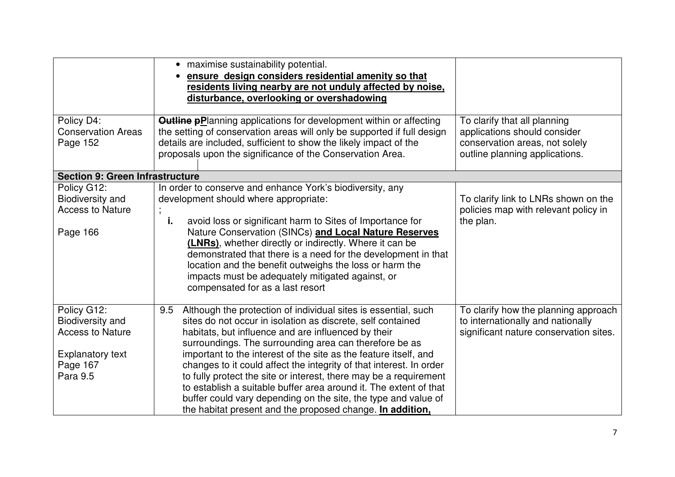|                                                                               | • maximise sustainability potential.<br>ensure design considers residential amenity so that<br>residents living nearby are not unduly affected by noise,<br>disturbance, overlooking or overshadowing                                                                                                                                                                                                                 |                                                                                                                                  |
|-------------------------------------------------------------------------------|-----------------------------------------------------------------------------------------------------------------------------------------------------------------------------------------------------------------------------------------------------------------------------------------------------------------------------------------------------------------------------------------------------------------------|----------------------------------------------------------------------------------------------------------------------------------|
| Policy D4:<br><b>Conservation Areas</b><br>Page 152                           | <b>Outline pPlanning applications for development within or affecting</b><br>the setting of conservation areas will only be supported if full design<br>details are included, sufficient to show the likely impact of the<br>proposals upon the significance of the Conservation Area.                                                                                                                                | To clarify that all planning<br>applications should consider<br>conservation areas, not solely<br>outline planning applications. |
| <b>Section 9: Green Infrastructure</b>                                        |                                                                                                                                                                                                                                                                                                                                                                                                                       |                                                                                                                                  |
| Policy G12:<br><b>Biodiversity and</b><br><b>Access to Nature</b><br>Page 166 | In order to conserve and enhance York's biodiversity, any<br>development should where appropriate:<br>avoid loss or significant harm to Sites of Importance for<br>i.<br>Nature Conservation (SINCs) and Local Nature Reserves<br>(LNRs), whether directly or indirectly. Where it can be<br>demonstrated that there is a need for the development in that<br>location and the benefit outweighs the loss or harm the | To clarify link to LNRs shown on the<br>policies map with relevant policy in<br>the plan.                                        |
|                                                                               | impacts must be adequately mitigated against, or<br>compensated for as a last resort                                                                                                                                                                                                                                                                                                                                  |                                                                                                                                  |
| Policy G12:                                                                   | Although the protection of individual sites is essential, such<br>9.5                                                                                                                                                                                                                                                                                                                                                 | To clarify how the planning approach                                                                                             |
| <b>Biodiversity and</b><br><b>Access to Nature</b>                            | sites do not occur in isolation as discrete, self contained<br>habitats, but influence and are influenced by their                                                                                                                                                                                                                                                                                                    | to internationally and nationally<br>significant nature conservation sites.                                                      |
|                                                                               | surroundings. The surrounding area can therefore be as                                                                                                                                                                                                                                                                                                                                                                |                                                                                                                                  |
| <b>Explanatory text</b>                                                       | important to the interest of the site as the feature itself, and                                                                                                                                                                                                                                                                                                                                                      |                                                                                                                                  |
| Page 167                                                                      | changes to it could affect the integrity of that interest. In order                                                                                                                                                                                                                                                                                                                                                   |                                                                                                                                  |
| Para 9.5                                                                      | to fully protect the site or interest, there may be a requirement<br>to establish a suitable buffer area around it. The extent of that                                                                                                                                                                                                                                                                                |                                                                                                                                  |
|                                                                               | buffer could vary depending on the site, the type and value of                                                                                                                                                                                                                                                                                                                                                        |                                                                                                                                  |
|                                                                               | the habitat present and the proposed change. In addition,                                                                                                                                                                                                                                                                                                                                                             |                                                                                                                                  |